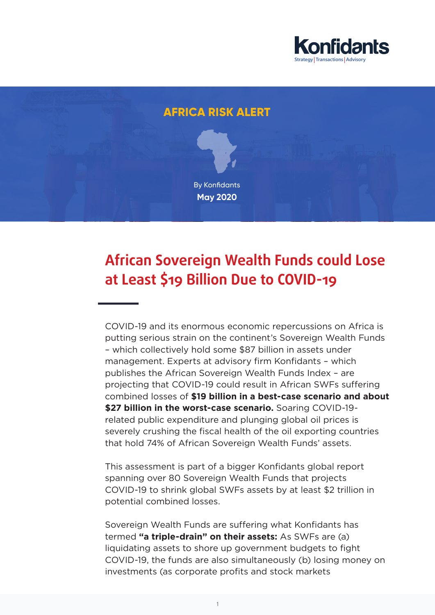

# **AFRICA RISK ALERT** By Konfidants **May 2020**

## **African Sovereign Wealth Funds could Lose at Least \$19 Billion Due to COVID-19**

COVID-19 and its enormous economic repercussions on Africa is putting serious strain on the continent's Sovereign Wealth Funds – which collectively hold some \$87 billion in assets under management. Experts at advisory firm Konfidants – which publishes the African Sovereign Wealth Funds Index – are projecting that COVID-19 could result in African SWFs suffering combined losses of **\$19 billion in a best-case scenario and about \$27 billion in the worst-case scenario.** Soaring COVID-19 related public expenditure and plunging global oil prices is severely crushing the fiscal health of the oil exporting countries that hold 74% of African Sovereign Wealth Funds' assets.

This assessment is part of a bigger Konfidants global report spanning over 80 Sovereign Wealth Funds that projects COVID-19 to shrink global SWFs assets by at least \$2 trillion in potential combined losses.

Sovereign Wealth Funds are suffering what Konfidants has termed **"a triple-drain" on their assets:** As SWFs are (a) liquidating assets to shore up government budgets to fight COVID-19, the funds are also simultaneously (b) losing money on investments (as corporate profits and stock markets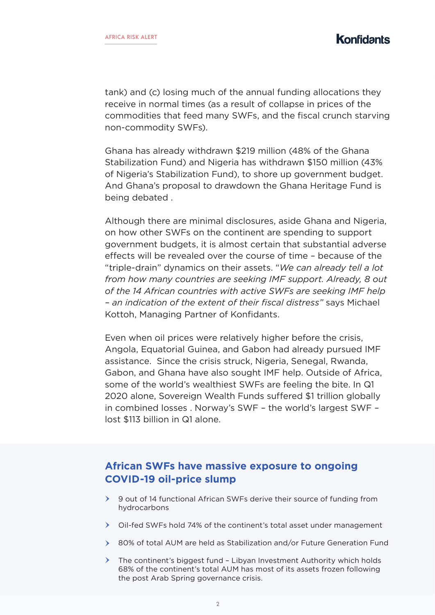tank) and (c) losing much of the annual funding allocations they receive in normal times (as a result of collapse in prices of the commodities that feed many SWFs, and the fiscal crunch starving non-commodity SWFs).

Ghana has already withdrawn \$219 million (48% of the Ghana Stabilization Fund) and Nigeria has withdrawn \$150 million (43% of Nigeria's Stabilization Fund), to shore up government budget. And Ghana's proposal to drawdown the Ghana Heritage Fund is being debated .

Although there are minimal disclosures, aside Ghana and Nigeria, on how other SWFs on the continent are spending to support government budgets, it is almost certain that substantial adverse effects will be revealed over the course of time – because of the "triple-drain" dynamics on their assets. "*We can already tell a lot from how many countries are seeking IMF support. Already, 8 out of the 14 African countries with active SWFs are seeking IMF help – an indication of the extent of their fiscal distress"* says Michael Kottoh, Managing Partner of Konfidants.

Even when oil prices were relatively higher before the crisis, Angola, Equatorial Guinea, and Gabon had already pursued IMF assistance. Since the crisis struck, Nigeria, Senegal, Rwanda, Gabon, and Ghana have also sought IMF help. Outside of Africa, some of the world's wealthiest SWFs are feeling the bite. In Q1 2020 alone, Sovereign Wealth Funds suffered \$1 trillion globally in combined losses . Norway's SWF – the world's largest SWF – lost \$113 billion in Q1 alone.

#### **African SWFs have massive exposure to ongoing COVID-19 oil-price slump**

- 9 out of 14 functional African SWFs derive their source of funding from hydrocarbons
- $\geq$  Oil-fed SWFs hold 74% of the continent's total asset under management
- 80% of total AUM are held as Stabilization and/or Future Generation Fund
- $\triangleright$  The continent's biggest fund Libyan Investment Authority which holds 68% of the continent's total AUM has most of its assets frozen following the post Arab Spring governance crisis.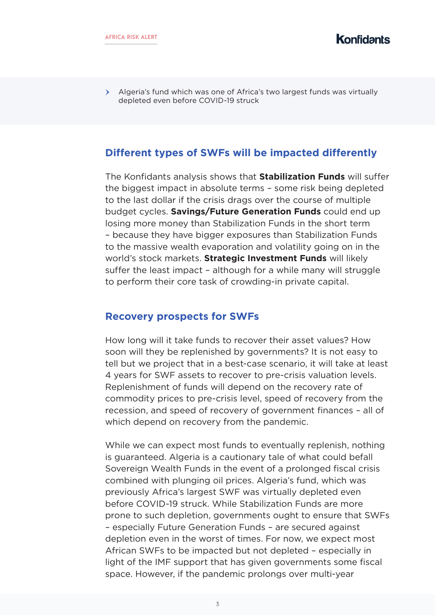Algeria's fund which was one of Africa's two largest funds was virtually depleted even before COVID-19 struck

#### **Different types of SWFs will be impacted differently**

The Konfidants analysis shows that **Stabilization Funds** will suffer the biggest impact in absolute terms – some risk being depleted to the last dollar if the crisis drags over the course of multiple budget cycles. **Savings/Future Generation Funds** could end up losing more money than Stabilization Funds in the short term – because they have bigger exposures than Stabilization Funds to the massive wealth evaporation and volatility going on in the world's stock markets. **Strategic Investment Funds** will likely suffer the least impact – although for a while many will struggle to perform their core task of crowding-in private capital.

#### **Recovery prospects for SWFs**

How long will it take funds to recover their asset values? How soon will they be replenished by governments? It is not easy to tell but we project that in a best-case scenario, it will take at least 4 years for SWF assets to recover to pre-crisis valuation levels. Replenishment of funds will depend on the recovery rate of commodity prices to pre-crisis level, speed of recovery from the recession, and speed of recovery of government finances – all of which depend on recovery from the pandemic.

While we can expect most funds to eventually replenish, nothing is guaranteed. Algeria is a cautionary tale of what could befall Sovereign Wealth Funds in the event of a prolonged fiscal crisis combined with plunging oil prices. Algeria's fund, which was previously Africa's largest SWF was virtually depleted even before COVID-19 struck. While Stabilization Funds are more prone to such depletion, governments ought to ensure that SWFs – especially Future Generation Funds – are secured against depletion even in the worst of times. For now, we expect most African SWFs to be impacted but not depleted – especially in light of the IMF support that has given governments some fiscal space. However, if the pandemic prolongs over multi-year